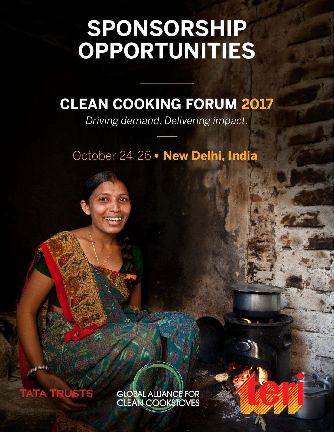# **SPONSORSHIP OPPORTUNITIES**

# **CLEAN COOKING FORUM 2017**

*Driving demand. Delivering impact.*

October 24-26 • New Delhi, India



**CAN Official** 

GLOBAL ALLIANCE FOR<br>CLEAN COOKSIOVES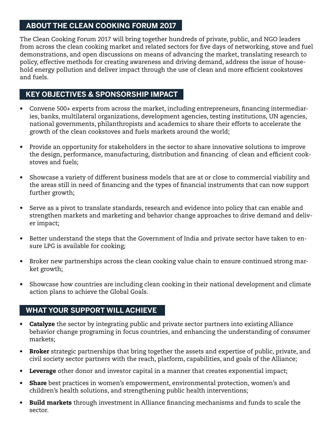# **ABOUT THE CLEAN COOKING FORUM 2017**

The Clean Cooking Forum 2017 will bring together hundreds of private, public, and NGO leaders from across the clean cooking market and related sectors for five days of networking, stove and fuel demonstrations, and open discussions on means of advancing the market, translating research to policy, effective methods for creating awareness and driving demand, address the issue of household energy pollution and deliver impact through the use of clean and more efficient cookstoves and fuels.

# **KEY OBJECTIVES & SPONSORSHIP IMPACT**

- Convene 500+ experts from across the market, including entrepreneurs, financing intermediaries, banks, multilateral organizations, development agencies, testing institutions, UN agencies, national governments, philanthropists and academics to share their efforts to accelerate the growth of the clean cookstoves and fuels markets around the world;
- Provide an opportunity for stakeholders in the sector to share innovative solutions to improve the design, performance, manufacturing, distribution and financing of clean and efficient cookstoves and fuels;
- Showcase a variety of different business models that are at or close to commercial viability and the areas still in need of financing and the types of financial instruments that can now support further growth;
- Serve as a pivot to translate standards, research and evidence into policy that can enable and strengthen markets and marketing and behavior change approaches to drive demand and deliver impact;
- Better understand the steps that the Government of India and private sector have taken to ensure LPG is available for cooking;
- Broker new partnerships across the clean cooking value chain to ensure continued strong market growth;
- Showcase how countries are including clean cooking in their national development and climate action plans to achieve the Global Goals.

# **WHAT YOUR SUPPORT WILL ACHIEVE**

- Gatalyze the sector by integrating public and private sector partners into existing Alliance behavior change programing in focus countries, and enhancing the understanding of consumer markets;
- Broker strategic partnerships that bring together the assets and expertise of public, private, and civil society sector partners with the reach, platform, capabilities, and goals of the Alliance;
- Leverage other donor and investor capital in a manner that creates exponential impact;
- Share best practices in women's empowerment, environmental protection, women's and children's health solutions, and strengthening public health interventions;
- **Build markets** through investment in Alliance financing mechanisms and funds to scale the sector.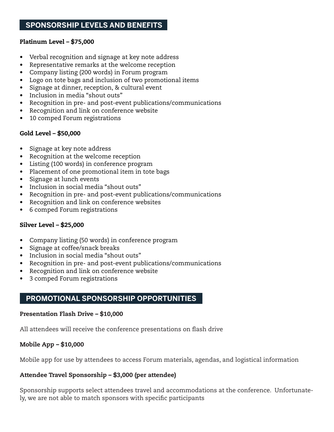# **SPONSORSHIP LEVELS AND BENEFITS**

#### Platinum Level – \$75,000

- Verbal recognition and signage at key note address
- Representative remarks at the welcome reception
- Company listing (200 words) in Forum program
- Logo on tote bags and inclusion of two promotional items
- Signage at dinner, reception, & cultural event
- Inclusion in media "shout outs"
- Recognition in pre- and post-event publications/communications
- Recognition and link on conference website
- 10 comped Forum registrations

#### Gold Level – \$50,000

- Signage at key note address
- Recognition at the welcome reception
- Listing (100 words) in conference program
- Placement of one promotional item in tote bags
- Signage at lunch events
- Inclusion in social media "shout outs"
- Recognition in pre- and post-event publications/communications
- Recognition and link on conference websites
- 6 comped Forum registrations

#### Silver Level – \$25,000

- Company listing (50 words) in conference program
- Signage at coffee/snack breaks
- Inclusion in social media "shout outs"
- Recognition in pre- and post-event publications/communications
- Recognition and link on conference website
- 3 comped Forum registrations

# **PROMOTIONAL SPONSORSHIP OPPORTUNITIES**

#### Presentation Flash Drive – \$10,000

All attendees will receive the conference presentations on flash drive

#### Mobile App – \$10,000

Mobile app for use by attendees to access Forum materials, agendas, and logistical information

#### Attendee Travel Sponsorship – \$3,000 (per attendee)

Sponsorship supports select attendees travel and accommodations at the conference. Unfortunately, we are not able to match sponsors with specific participants